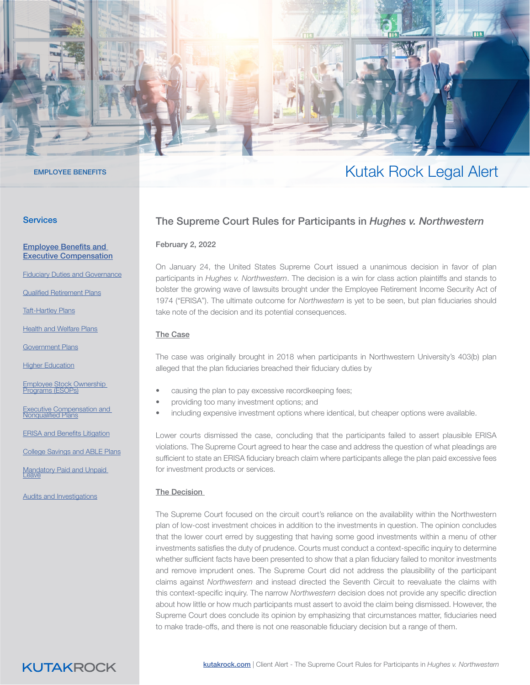

### **Services**

[Employee Benefits and](https://www.kutakrock.com/services/practices/employee-benefits-and-executive-compensation)  [Executive Compensation](https://www.kutakrock.com/services/practices/employee-benefits-and-executive-compensation)

[Fiduciary Duties and Governance](https://www.kutakrock.com/services/practices/employee-benefits-and-executive-compensation/fiduciary-duties-and-governance)

[Qualified Retirement Plans](https://www.kutakrock.com/services/practices/employee-benefits-and-executive-compensation/qualified-retirement-plans)

**[Taft-Hartley Plans](https://www.kutakrock.com/services/practices/employee-benefits-and-executive-compensation/taft-hartley-plans)** 

**[Health and Welfare Plans](https://www.kutakrock.com/services/practices/employee-benefits-and-executive-compensation/health-and-welfare-plans)** 

[Government Plans](https://www.kutakrock.com/services/practices/employee-benefits-and-executive-compensation/government-plans)

**[Higher Education](https://www.kutakrock.com/services/practices/employee-benefits-and-executive-compensation/higher-education)** 

[Employee Stock Ownership](https://www.kutakrock.com/services/practices/employee-benefits-and-executive-compensation/esops)  [Programs \(ESOPs\)](https://www.kutakrock.com/services/practices/employee-benefits-and-executive-compensation/esops)

Executive Compensation and<br>[Nonqualified Plans](https://www.kutakrock.com/services/practices/employee-benefits-and-executive-compensation/executive-compensation-and-nonqualified-plans)

[ERISA and Benefits Litigation](https://www.kutakrock.com/services/practices/employee-benefits-and-executive-compensation/erisa-and-benefits-litigation)

[College Savings and ABLE Plans](https://www.kutakrock.com/services/practices/employee-benefits-and-executive-compensation/college-savings-and-able-plans)

Mandatory Paid and Unpaid<br><u>[Leave](https://www.kutakrock.com/services/practices/employee-benefits-and-executive-compensation/mandatory-paid-and-unpaid-leave)</u>

[Audits and Investigations](https://www.kutakrock.com/services/practices/employee-benefits-and-executive-compensation/audits-and-investigations)

# The Supreme Court Rules for Participants in *Hughes v. Northwestern*

#### February 2, 2022

On January 24, the United States Supreme Court issued a unanimous decision in favor of plan participants in *Hughes v. Northwestern*. The decision is a win for class action plaintiffs and stands to bolster the growing wave of lawsuits brought under the Employee Retirement Income Security Act of 1974 ("ERISA"). The ultimate outcome for *Northwestern* is yet to be seen, but plan fiduciaries should take note of the decision and its potential consequences.

### The Case

The case was originally brought in 2018 when participants in Northwestern University's 403(b) plan alleged that the plan fiduciaries breached their fiduciary duties by

- causing the plan to pay excessive recordkeeping fees;
- providing too many investment options; and
- including expensive investment options where identical, but cheaper options were available.

Lower courts dismissed the case, concluding that the participants failed to assert plausible ERISA violations. The Supreme Court agreed to hear the case and address the question of what pleadings are sufficient to state an ERISA fiduciary breach claim where participants allege the plan paid excessive fees for investment products or services.

### The Decision

The Supreme Court focused on the circuit court's reliance on the availability within the Northwestern plan of low-cost investment choices in addition to the investments in question. The opinion concludes that the lower court erred by suggesting that having some good investments within a menu of other investments satisfies the duty of prudence. Courts must conduct a context-specific inquiry to determine whether sufficient facts have been presented to show that a plan fiduciary failed to monitor investments and remove imprudent ones. The Supreme Court did not address the plausibility of the participant claims against *Northwestern* and instead directed the Seventh Circuit to reevaluate the claims with this context-specific inquiry. The narrow *Northwestern* decision does not provide any specific direction about how little or how much participants must assert to avoid the claim being dismissed. However, the Supreme Court does conclude its opinion by emphasizing that circumstances matter, fiduciaries need to make trade-offs, and there is not one reasonable fiduciary decision but a range of them.

### **KUTAKROCK**

## EMPLOYEE BENEFITS THE STATE OF THE SERVER OF THE STATE OF THE STATE OF THE STATE OF THE STATE OF THE STATE OF THE STATE OF THE STATE OF THE STATE OF THE STATE OF THE STATE OF THE STATE OF THE STATE OF THE STATE OF THE STAT